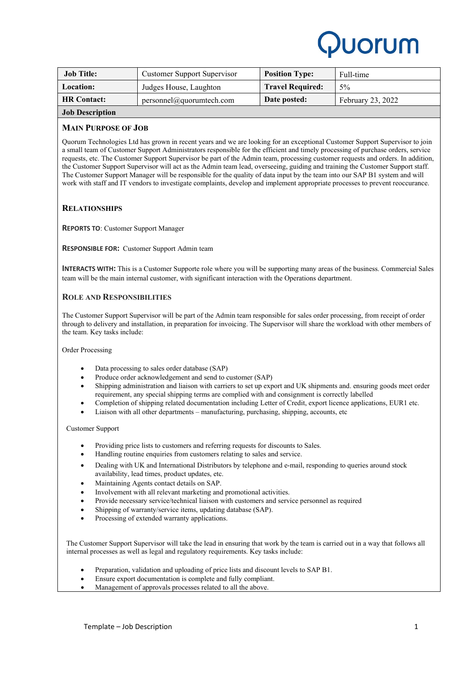

| <b>Job Title:</b>      | <b>Customer Support Supervisor</b> | <b>Position Type:</b>   | Full-time         |
|------------------------|------------------------------------|-------------------------|-------------------|
| <b>Location:</b>       | Judges House, Laughton             | <b>Travel Required:</b> | $5\%$             |
| <b>HR Contact:</b>     | personnel@quorumtech.com           | Date posted:            | February 23, 2022 |
| <b>Job Description</b> |                                    |                         |                   |

# **MAIN PURPOSE OF JOB**

Quorum Technologies Ltd has grown in recent years and we are looking for an exceptional Customer Support Supervisor to join a small team of Customer Support Administrators responsible for the efficient and timely processing of purchase orders, service requests, etc. The Customer Support Supervisor be part of the Admin team, processing customer requests and orders. In addition, the Customer Support Supervisor will act as the Admin team lead, overseeing, guiding and training the Customer Support staff. The Customer Support Manager will be responsible for the quality of data input by the team into our SAP B1 system and will work with staff and IT vendors to investigate complaints, develop and implement appropriate processes to prevent reoccurance.

# **RELATIONSHIPS**

**REPORTS TO**: Customer Support Manager

**RESPONSIBLE FOR:** Customer Support Admin team

**INTERACTS WITH:** This is a Customer Supporte role where you will be supporting many areas of the business. Commercial Sales team will be the main internal customer, with significant interaction with the Operations department.

# **ROLE AND RESPONSIBILITIES**

The Customer Support Supervisor will be part of the Admin team responsible for sales order processing, from receipt of order through to delivery and installation, in preparation for invoicing. The Supervisor will share the workload with other members of the team. Key tasks include:

Order Processing

- Data processing to sales order database (SAP)
- Produce order acknowledgement and send to customer (SAP)
- Shipping administration and liaison with carriers to set up export and UK shipments and. ensuring goods meet order requirement, any special shipping terms are complied with and consignment is correctly labelled
- Completion of shipping related documentation including Letter of Credit, export licence applications, EUR1 etc.
- Liaison with all other departments manufacturing, purchasing, shipping, accounts, etc

Customer Support

- Providing price lists to customers and referring requests for discounts to Sales.
- Handling routine enquiries from customers relating to sales and service.
- Dealing with UK and International Distributors by telephone and e-mail, responding to queries around stock availability, lead times, product updates, etc.
- Maintaining Agents contact details on SAP.
- Involvement with all relevant marketing and promotional activities.
- Provide necessary service/technical liaison with customers and service personnel as required
- Shipping of warranty/service items, updating database (SAP).
- Processing of extended warranty applications.

The Customer Support Supervisor will take the lead in ensuring that work by the team is carried out in a way that follows all internal processes as well as legal and regulatory requirements. Key tasks include:

- Preparation, validation and uploading of price lists and discount levels to SAP B1.
- Ensure export documentation is complete and fully compliant.
- Management of approvals processes related to all the above.